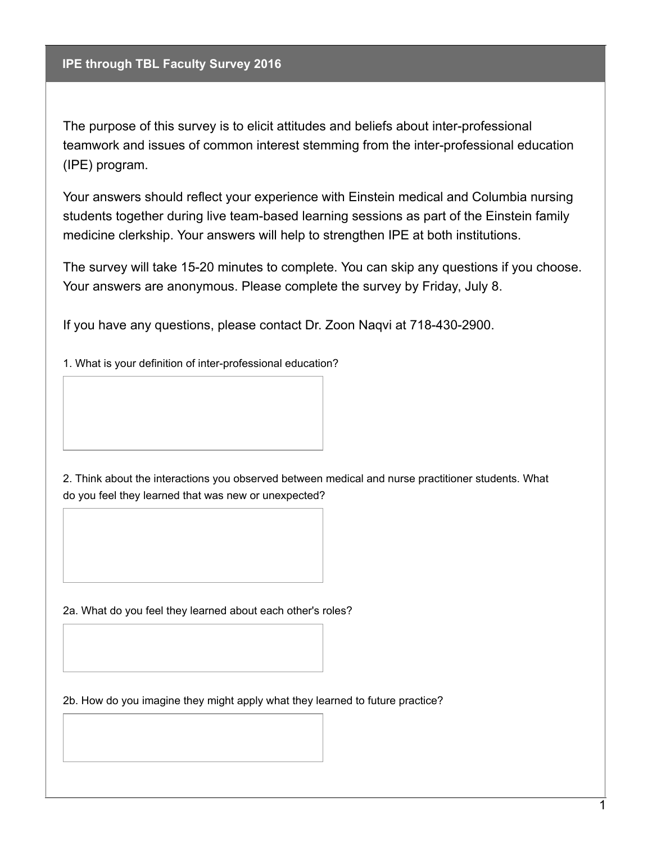**IPE through TBL Faculty Survey 2016**

The purpose of this survey is to elicit attitudes and beliefs about inter-professional teamwork and issues of common interest stemming from the inter-professional education (IPE) program.

Your answers should reflect your experience with Einstein medical and Columbia nursing students together during live team-based learning sessions as part of the Einstein family medicine clerkship. Your answers will help to strengthen IPE at both institutions.

The survey will take 15-20 minutes to complete. You can skip any questions if you choose. Your answers are anonymous. Please complete the survey by Friday, July 8.

If you have any questions, please contact Dr. Zoon Naqvi at 718-430-2900.

1. What is your definition of inter-professional education?

2. Think about the interactions you observed between medical and nurse practitioner students. What do you feel they learned that was new or unexpected?

2a. What do you feel they learned about each other's roles?

2b. How do you imagine they might apply what they learned to future practice?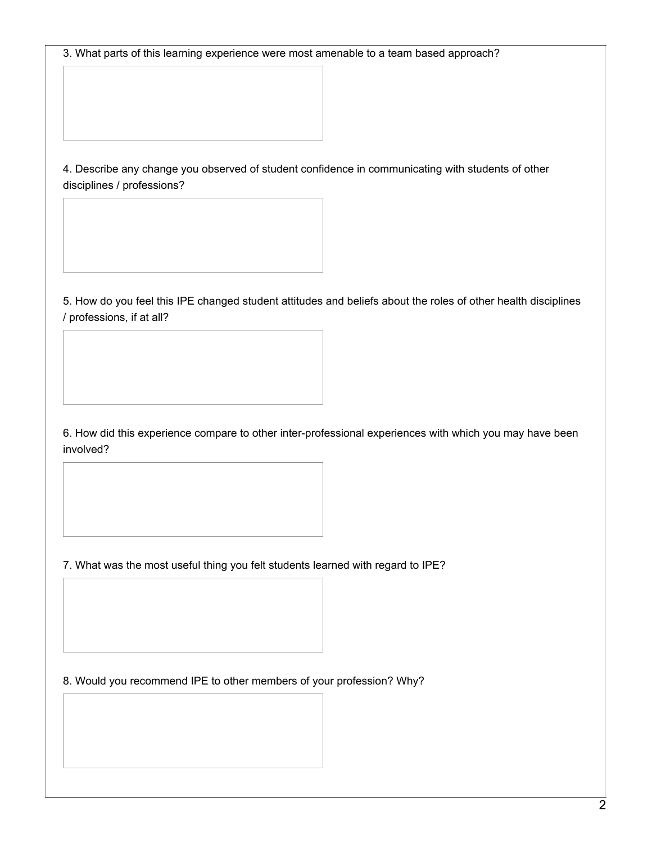3. What parts of this learning experience were most amenable to a team based approach?

4. Describe any change you observed of student confidence in communicating with students of other disciplines / professions?

5. How do you feel this IPE changed student attitudes and beliefs about the roles of other health disciplines / professions, if at all?

6. How did this experience compare to other inter-professional experiences with which you may have been involved?

7. What was the most useful thing you felt students learned with regard to IPE?

8. Would you recommend IPE to other members of your profession? Why?